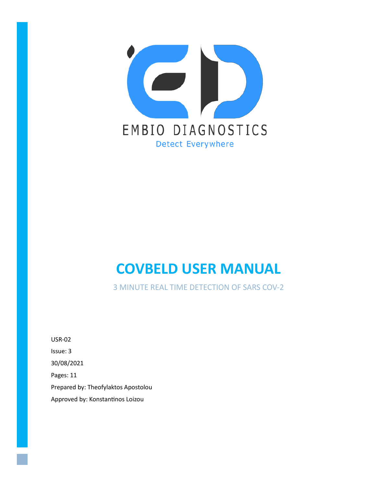

# **COVBELD USER MANUAL**

3 MINUTE REAL TIME DETECTION OF SARS COV-2

USR-02 Issue: 3 30/08/2021 Pages: 11 Prepared by: Theofylaktos Apostolou Approved by: Konstantinos Loizou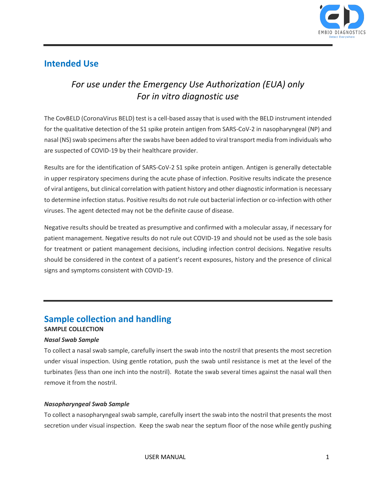

### **Intended Use**

# *For use under the Emergency Use Authorization (EUA) only For in vitro diagnostic use*

The CovBELD (CoronaVirus BELD) test is a cell-based assay that is used with the BELD instrument intended for the qualitative detection of the S1 spike protein antigen from SARS-CoV-2 in nasopharyngeal (NP) and nasal (NS) swab specimens after the swabs have been added to viral transport media from individuals who are suspected of COVID-19 by their healthcare provider.

Results are for the identification of SARS-CoV-2 S1 spike protein antigen. Antigen is generally detectable in upper respiratory specimens during the acute phase of infection. Positive results indicate the presence of viral antigens, but clinical correlation with patient history and other diagnostic information is necessary to determine infection status. Positive results do not rule out bacterial infection or co-infection with other viruses. The agent detected may not be the definite cause of disease.

Negative results should be treated as presumptive and confirmed with a molecular assay, if necessary for patient management. Negative results do not rule out COVID-19 and should not be used as the sole basis for treatment or patient management decisions, including infection control decisions. Negative results should be considered in the context of a patient's recent exposures, history and the presence of clinical signs and symptoms consistent with COVID-19.

#### **Sample collection and handling SAMPLE COLLECTION**

#### *Nasal Swab Sample*

To collect a nasal swab sample, carefully insert the swab into the nostril that presents the most secretion under visual inspection. Using gentle rotation, push the swab until resistance is met at the level of the turbinates {less than one inch into the nostril). Rotate the swab several times against the nasal wall then remove it from the nostril.

#### *Nasopharyngeal Swab Sample*

To collect a nasopharyngeal swab sample, carefully insert the swab into the nostril that presents the most secretion under visual inspection. Keep the swab near the septum floor of the nose while gently pushing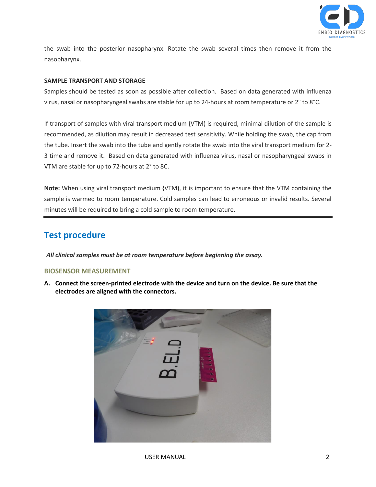

the swab into the posterior nasopharynx. Rotate the swab several times then remove it from the nasopharynx.

#### **SAMPLE TRANSPORT AND STORAGE**

Samples should be tested as soon as possible after collection. Based on data generated with influenza virus, nasal or nasopharyngeal swabs are stable for up to 24-hours at room temperature or 2° to 8°C.

If transport of samples with viral transport medium {VTM) is required, minimal dilution of the sample is recommended, as dilution may result in decreased test sensitivity. While holding the swab, the cap from the tube. Insert the swab into the tube and gently rotate the swab into the viral transport medium for 2- 3 time and remove it. Based on data generated with influenza virus, nasal or nasopharyngeal swabs in VTM are stable for up to 72-hours at 2° to 8C.

**Note:** When using viral transport medium {VTM), it is important to ensure that the VTM containing the sample is warmed to room temperature. Cold samples can lead to erroneous or invalid results. Several minutes will be required to bring a cold sample to room temperature.

## **Test procedure**

*All clinical samples must be at room temperature before beginning the assay.*

#### **BIOSENSOR MEASUREMENT**

**A. Connect the screen-printed electrode with the device and turn on the device. Be sure that the electrodes are aligned with the connectors.**

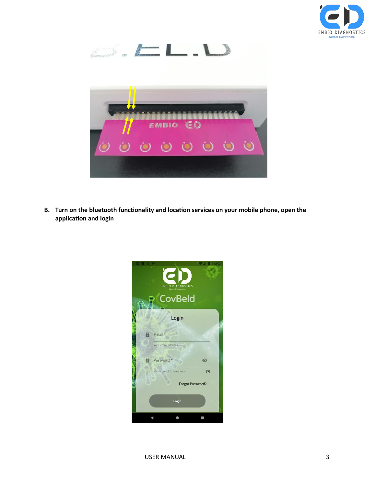



**B. Turn on the bluetooth functionality and location services on your mobile phone, open the application and login**

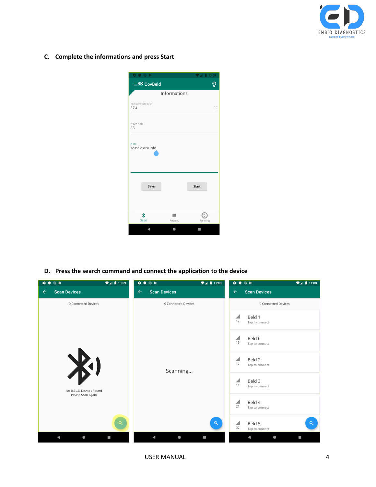

**C. Complete the informations and press Start**

|                           |                     | 10:59        |
|---------------------------|---------------------|--------------|
| ≡ CovBeld                 |                     | Ō            |
|                           | Informations        |              |
| Temperature (IIC)<br>37.4 |                     | <b>DC</b>    |
| <b>Heart Rate</b><br>65   |                     |              |
| Note<br>some extra info   |                     |              |
| Save                      |                     | <b>Start</b> |
| ∦<br>Scan                 | $\equiv$<br>Results | Running      |
|                           |                     |              |

**D. Press the search command and connect the application to the device**

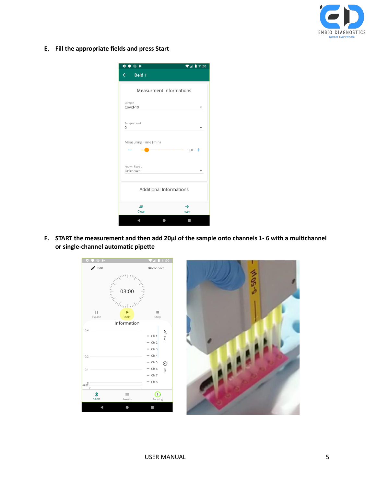

**E. Fill the appropriate fields and press Start**

| $\mathbf{a}$<br>$\bullet\blacktriangleright$ | 11:00<br>n                    |
|----------------------------------------------|-------------------------------|
| $\leftarrow$<br><b>Beld 1</b>                |                               |
|                                              |                               |
| <b>Measurment Informations</b>               |                               |
| Sample<br>Covid-19                           |                               |
| Sample Level<br>0                            |                               |
| Measuring Time (min)                         | 3.0                           |
| Known Result<br>Unknown                      |                               |
| <b>Additional Informations</b>               |                               |
| Ξ<br>Clear                                   | $\rightarrow$<br><b>Start</b> |
|                                              |                               |

**F. START the measurement and then add 20μl of the sample onto channels 1- 6 with a multichannel or single-channel automatic pipette**

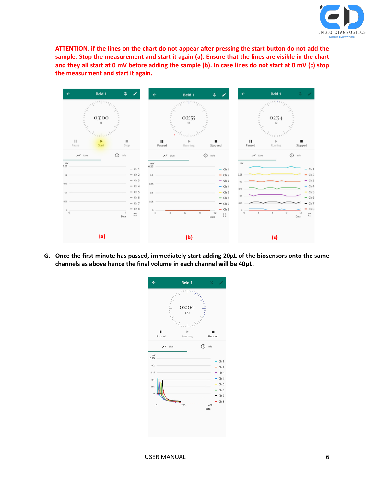

**ATTENTION, if the lines on the chart do not appear after pressing the start button do not add the sample. Stop the measurement and start it again (a). Ensure that the lines are visible in the chart and they all start at 0 mV before adding the sample (b). In case lines do not start at 0 mV (c) stop the measurment and start it again.**



**G. Once the first minute has passed, immediately start adding 20μL of the biosensors onto the same channels as above hence the final volume in each channel will be 40μL.**

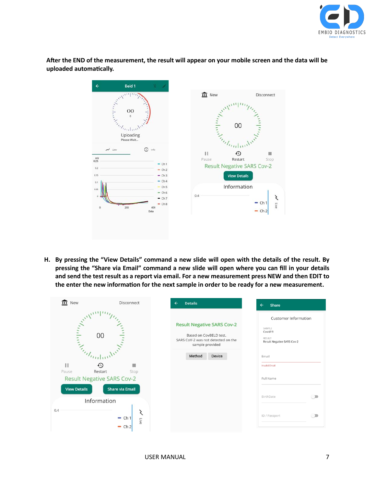

**After the END of the measurement, the result will appear on your mobile screen and the data will be uploaded automatically.**

| Disconnect<br><b>Continued In the Continued In the Continued In the Continued In the Continued In the Continued In the Continued In the Continued In the Continued In the Continued In the Continued In the Continued In the Continued In the </b><br>00<br>Engineering<br>Uploading<br>Please Wait<br>$\sim$ Live<br>$\odot$<br>Info<br>П<br>⊕<br>$\substack{\text{mV} \\ \text{0.25}}$<br>Restart<br>Pause<br>Stop<br>$-$ Ch <sub>1</sub><br><b>Result Negative SARS Cov-2</b><br>0.2<br>$-$ Ch <sub>2</sub><br><b>View Details</b><br>0, 15<br>$-$ Ch 3<br>$-$ Ch <sub>4</sub><br>0.1<br>Information<br>$-$ Ch <sub>5</sub><br>0.05<br>$-ch6$<br>0.4<br>$-$ Ch <sub>7</sub><br>$-$ Ch <sub>1</sub><br>Live<br>$-$ Ch $8$<br>$\mathbf 0$<br>200<br>400<br>$-$ Ch <sub>2</sub><br>Data | $\leftarrow$<br>Beld 1 | 鉴 |         |  |
|-----------------------------------------------------------------------------------------------------------------------------------------------------------------------------------------------------------------------------------------------------------------------------------------------------------------------------------------------------------------------------------------------------------------------------------------------------------------------------------------------------------------------------------------------------------------------------------------------------------------------------------------------------------------------------------------------------------------------------------------------------------------------------------------|------------------------|---|---------|--|
|                                                                                                                                                                                                                                                                                                                                                                                                                                                                                                                                                                                                                                                                                                                                                                                         |                        |   | $m$ New |  |
|                                                                                                                                                                                                                                                                                                                                                                                                                                                                                                                                                                                                                                                                                                                                                                                         |                        |   |         |  |
|                                                                                                                                                                                                                                                                                                                                                                                                                                                                                                                                                                                                                                                                                                                                                                                         |                        |   |         |  |
|                                                                                                                                                                                                                                                                                                                                                                                                                                                                                                                                                                                                                                                                                                                                                                                         |                        |   |         |  |

**H. By pressing the "View Details" command a new slide will open with the details of the result. By pressing the "Share via Email" command a new slide will open where you can fill in your details and send the test result as a report via email. For a new measurement press NEW and then EDIT to the enter the new information for the next sample in order to be ready for a new measurement.**

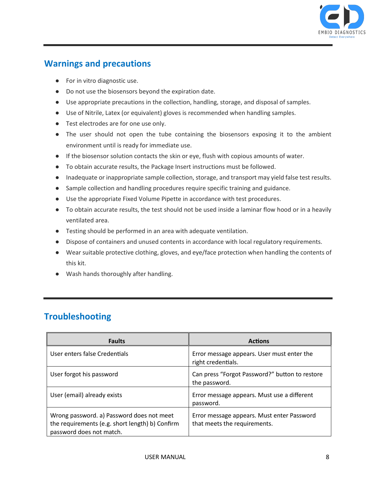

## **Warnings and precautions**

- For in vitro diagnostic use.
- Do not use the biosensors beyond the expiration date.
- Use appropriate precautions in the collection, handling, storage, and disposal of samples.
- Use of Nitrile, Latex (or equivalent) gloves is recommended when handling samples.
- Test electrodes are for one use only.
- The user should not open the tube containing the biosensors exposing it to the ambient environment until is ready for immediate use.
- If the biosensor solution contacts the skin or eye, flush with copious amounts of water.
- To obtain accurate results, the Package Insert instructions must be followed.
- Inadequate or inappropriate sample collection, storage, and transport may yield false test results.
- Sample collection and handling procedures require specific training and guidance.
- Use the appropriate Fixed Volume Pipette in accordance with test procedures.
- To obtain accurate results, the test should not be used inside a laminar flow hood or in a heavily ventilated area.
- Testing should be performed in an area with adequate ventilation.
- Dispose of containers and unused contents in accordance with local regulatory requirements.
- Wear suitable protective clothing, gloves, and eye/face protection when handling the contents of this kit.
- Wash hands thoroughly after handling.

## **Troubleshooting**

| <b>Faults</b>                                                                                                            | <b>Actions</b>                                                             |
|--------------------------------------------------------------------------------------------------------------------------|----------------------------------------------------------------------------|
| User enters false Credentials                                                                                            | Error message appears. User must enter the<br>right credentials.           |
| User forgot his password                                                                                                 | Can press "Forgot Password?" button to restore<br>the password.            |
| User (email) already exists                                                                                              | Error message appears. Must use a different<br>password.                   |
| Wrong password. a) Password does not meet<br>the requirements (e.g. short length) b) Confirm<br>password does not match. | Error message appears. Must enter Password<br>that meets the requirements. |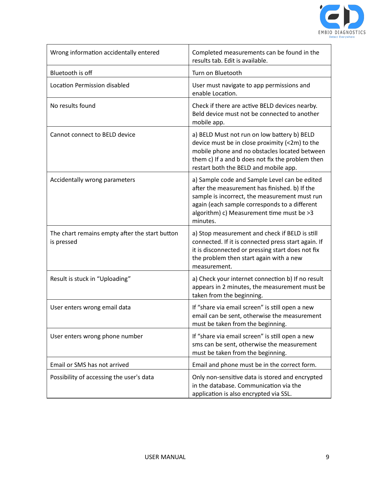

| Wrong information accidentally entered                       | Completed measurements can be found in the<br>results tab. Edit is available.                                                                                                                                                                             |
|--------------------------------------------------------------|-----------------------------------------------------------------------------------------------------------------------------------------------------------------------------------------------------------------------------------------------------------|
| Bluetooth is off                                             | Turn on Bluetooth                                                                                                                                                                                                                                         |
| <b>Location Permission disabled</b>                          | User must navigate to app permissions and<br>enable Location.                                                                                                                                                                                             |
| No results found                                             | Check if there are active BELD devices nearby.<br>Beld device must not be connected to another<br>mobile app.                                                                                                                                             |
| Cannot connect to BELD device                                | a) BELD Must not run on low battery b) BELD<br>device must be in close proximity (<2m) to the<br>mobile phone and no obstacles located between<br>them c) If a and b does not fix the problem then<br>restart both the BELD and mobile app.               |
| Accidentally wrong parameters                                | a) Sample code and Sample Level can be edited<br>after the measurement has finished. b) If the<br>sample is incorrect, the measurement must run<br>again (each sample corresponds to a different<br>algorithm) c) Measurement time must be >3<br>minutes. |
| The chart remains empty after the start button<br>is pressed | a) Stop measurement and check if BELD is still<br>connected. If it is connected press start again. If<br>it is disconnected or pressing start does not fix<br>the problem then start again with a new<br>measurement.                                     |
| Result is stuck in "Uploading"                               | a) Check your internet connection b) If no result<br>appears in 2 minutes, the measurement must be<br>taken from the beginning.                                                                                                                           |
| User enters wrong email data                                 | If "share via email screen" is still open a new<br>email can be sent, otherwise the measurement<br>must be taken from the beginning.                                                                                                                      |
| User enters wrong phone number                               | If "share via email screen" is still open a new<br>sms can be sent, otherwise the measurement<br>must be taken from the beginning.                                                                                                                        |
| Email or SMS has not arrived                                 | Email and phone must be in the correct form.                                                                                                                                                                                                              |
| Possibility of accessing the user's data                     | Only non-sensitive data is stored and encrypted<br>in the database. Communication via the<br>application is also encrypted via SSL.                                                                                                                       |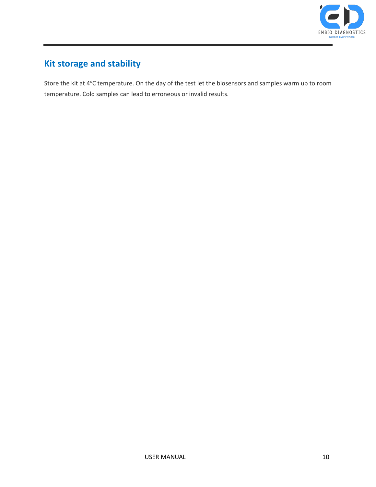

# **Kit storage and stability**

Store the kit at 4°C temperature. On the day of the test let the biosensors and samples warm up to room temperature. Cold samples can lead to erroneous or invalid results.